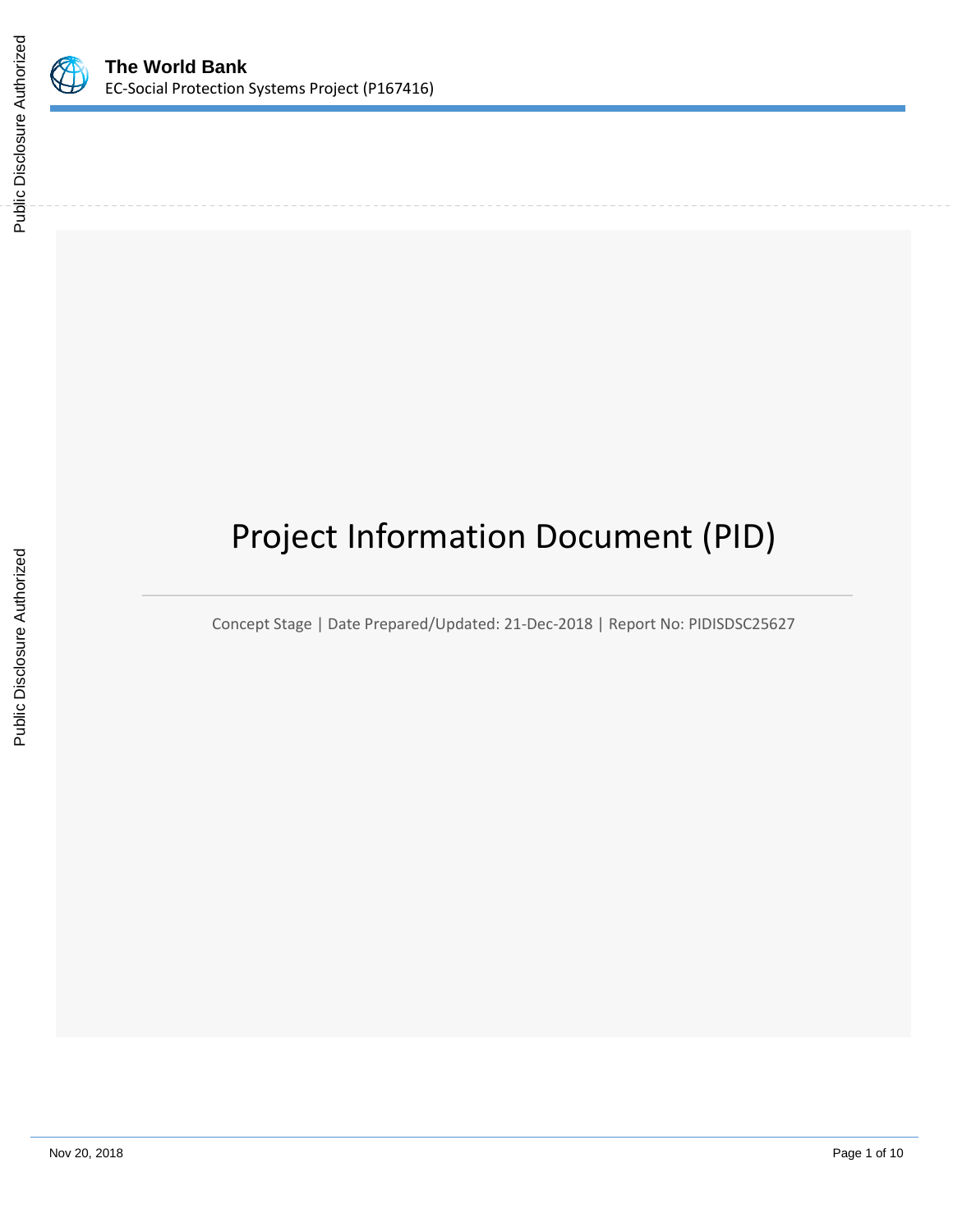

# Project Information Document (PID)

Concept Stage | Date Prepared/Updated: 21-Dec-2018 | Report No: PIDISDSC25627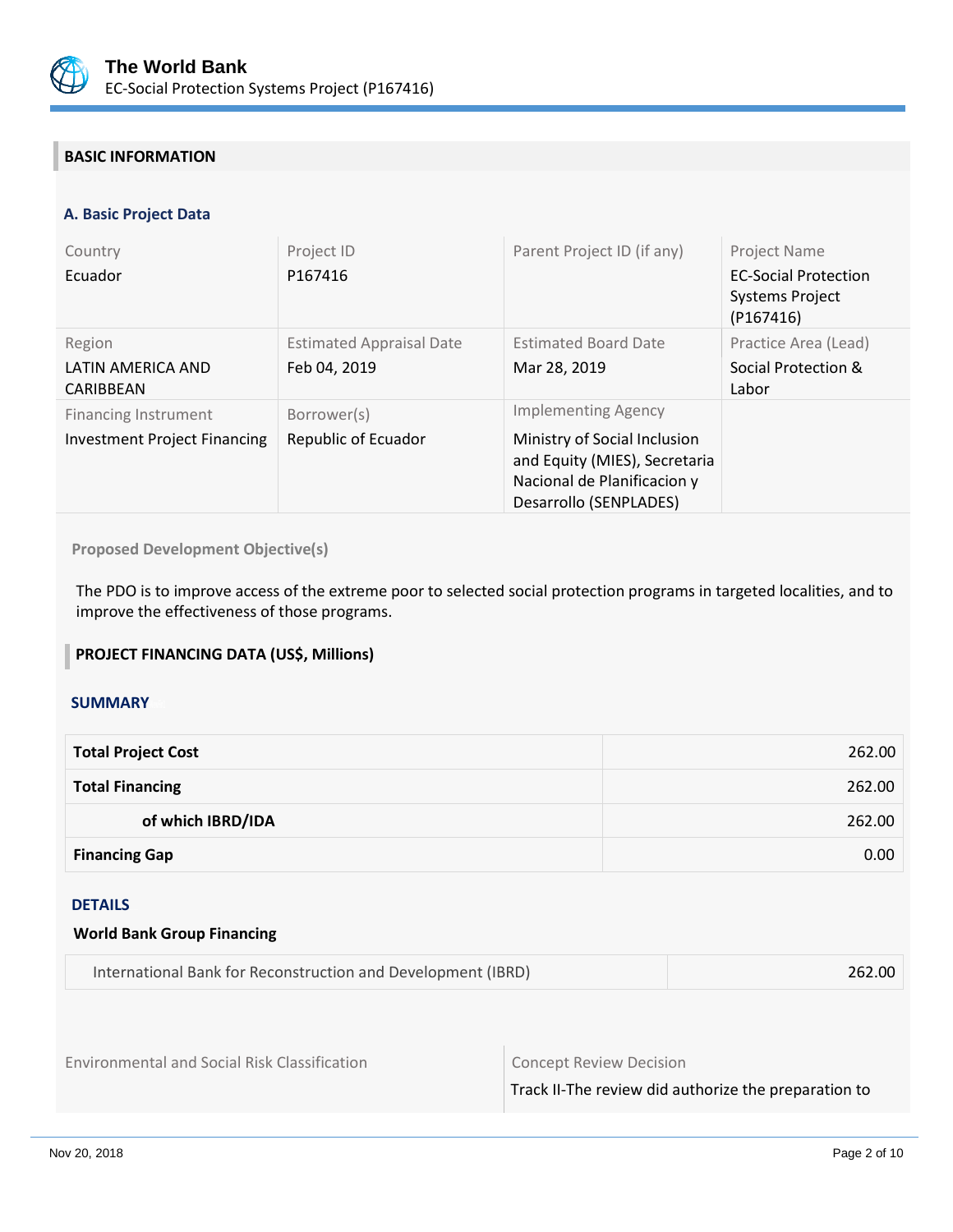

# **BASIC INFORMATION**

## **A. Basic Project Data**

| Country<br>Ecuador                                                 | Project ID<br>P167416                           | Parent Project ID (if any)                                                                                                                           | <b>Project Name</b><br><b>EC-Social Protection</b><br><b>Systems Project</b><br>(P167416) |
|--------------------------------------------------------------------|-------------------------------------------------|------------------------------------------------------------------------------------------------------------------------------------------------------|-------------------------------------------------------------------------------------------|
| Region<br>LATIN AMERICA AND<br>CARIBBEAN                           | <b>Estimated Appraisal Date</b><br>Feb 04, 2019 | <b>Estimated Board Date</b><br>Mar 28, 2019                                                                                                          | Practice Area (Lead)<br>Social Protection &<br>Labor                                      |
| <b>Financing Instrument</b><br><b>Investment Project Financing</b> | Borrower(s)<br>Republic of Ecuador              | <b>Implementing Agency</b><br>Ministry of Social Inclusion<br>and Equity (MIES), Secretaria<br>Nacional de Planificacion y<br>Desarrollo (SENPLADES) |                                                                                           |

**Proposed Development Objective(s)** 

The PDO is to improve access of the extreme poor to selected social protection programs in targeted localities, and to improve the effectiveness of those programs.

## **PROJECT FINANCING DATA (US\$, Millions)**

## **SUMMARY**

| <b>Total Project Cost</b> | 262.00 |
|---------------------------|--------|
| <b>Total Financing</b>    | 262.00 |
| of which IBRD/IDA         | 262.00 |
| <b>Financing Gap</b>      | 0.00   |

#### DETAILS

| <b>World Bank Group Financing</b> |
|-----------------------------------|
|-----------------------------------|

| International Bank for Reconstruction and Development (IBRD) | 262.00 |
|--------------------------------------------------------------|--------|
|--------------------------------------------------------------|--------|

Environmental and Social Risk Classification **Concept Review Decision** 

Track II-The review did authorize the preparation to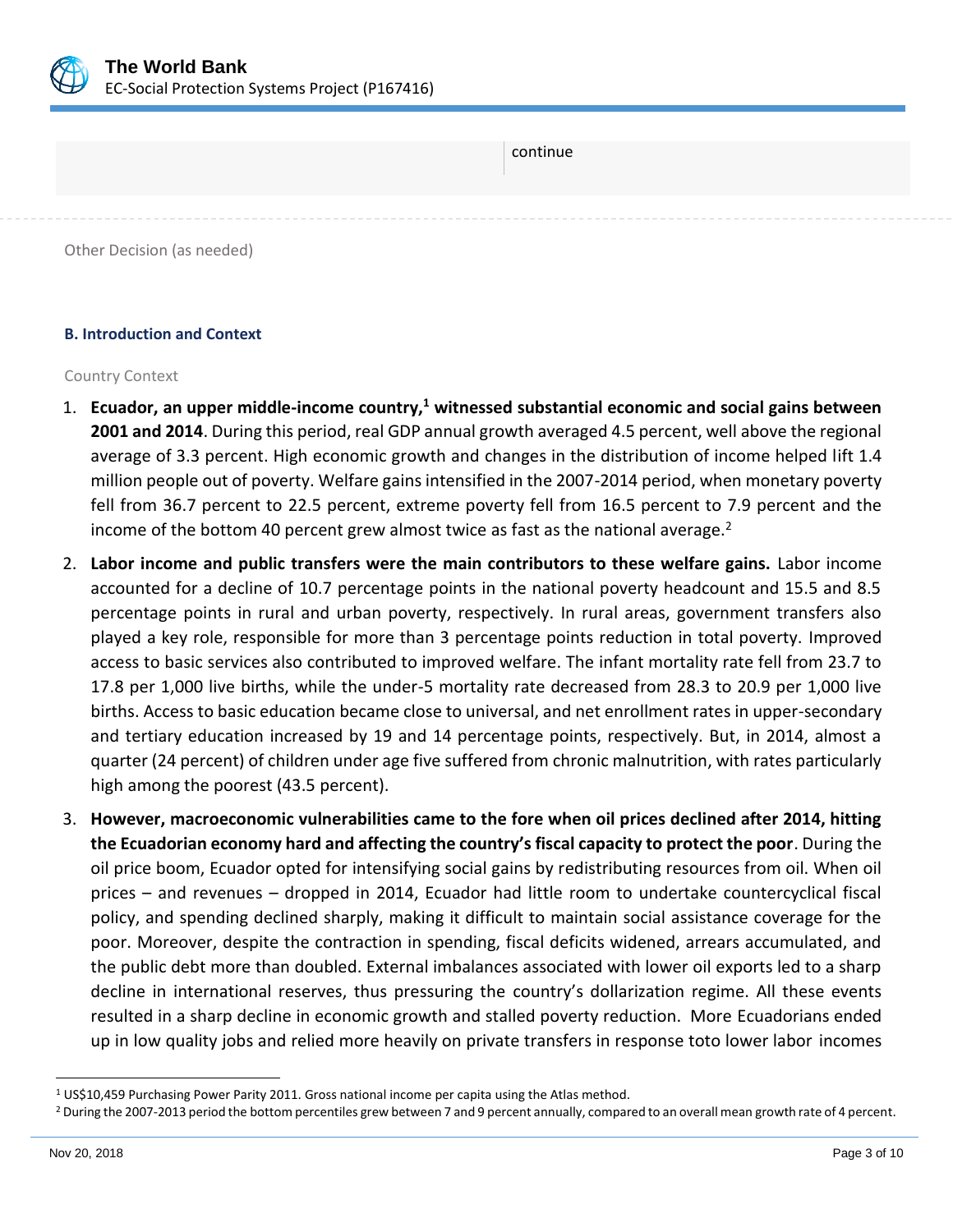

| continue                   |
|----------------------------|
|                            |
| Other Decision (as needed) |

# **B. Introduction and Context**

#### Country Context

- 1. **Ecuador, an upper middle-income country,<sup>1</sup> witnessed substantial economic and social gains between 2001 and 2014**. During this period, real GDP annual growth averaged 4.5 percent, well above the regional average of 3.3 percent. High economic growth and changes in the distribution of income helped lift 1.4 million people out of poverty. Welfare gains intensified in the 2007-2014 period, when monetary poverty fell from 36.7 percent to 22.5 percent, extreme poverty fell from 16.5 percent to 7.9 percent and the income of the bottom 40 percent grew almost twice as fast as the national average. $2$
- 2. **Labor income and public transfers were the main contributors to these welfare gains.** Labor income accounted for a decline of 10.7 percentage points in the national poverty headcount and 15.5 and 8.5 percentage points in rural and urban poverty, respectively. In rural areas, government transfers also played a key role, responsible for more than 3 percentage points reduction in total poverty. Improved access to basic services also contributed to improved welfare. The infant mortality rate fell from 23.7 to 17.8 per 1,000 live births, while the under-5 mortality rate decreased from 28.3 to 20.9 per 1,000 live births. Access to basic education became close to universal, and net enrollment rates in upper-secondary and tertiary education increased by 19 and 14 percentage points, respectively. But, in 2014, almost a quarter (24 percent) of children under age five suffered from chronic malnutrition, with rates particularly high among the poorest (43.5 percent).
- 3. **However, macroeconomic vulnerabilities came to the fore when oil prices declined after 2014, hitting the Ecuadorian economy hard and affecting the country's fiscal capacity to protect the poor**. During the oil price boom, Ecuador opted for intensifying social gains by redistributing resources from oil. When oil prices – and revenues – dropped in 2014, Ecuador had little room to undertake countercyclical fiscal policy, and spending declined sharply, making it difficult to maintain social assistance coverage for the poor. Moreover, despite the contraction in spending, fiscal deficits widened, arrears accumulated, and the public debt more than doubled. External imbalances associated with lower oil exports led to a sharp decline in international reserves, thus pressuring the country's dollarization regime. All these events resulted in a sharp decline in economic growth and stalled poverty reduction. More Ecuadorians ended up in low quality jobs and relied more heavily on private transfers in response toto lower labor incomes

<sup>1</sup> US\$10,459 Purchasing Power Parity 2011. Gross national income per capita using the Atlas method.

<sup>&</sup>lt;sup>2</sup> During the 2007-2013 period the bottom percentiles grew between 7 and 9 percent annually, compared to an overall mean growth rate of 4 percent.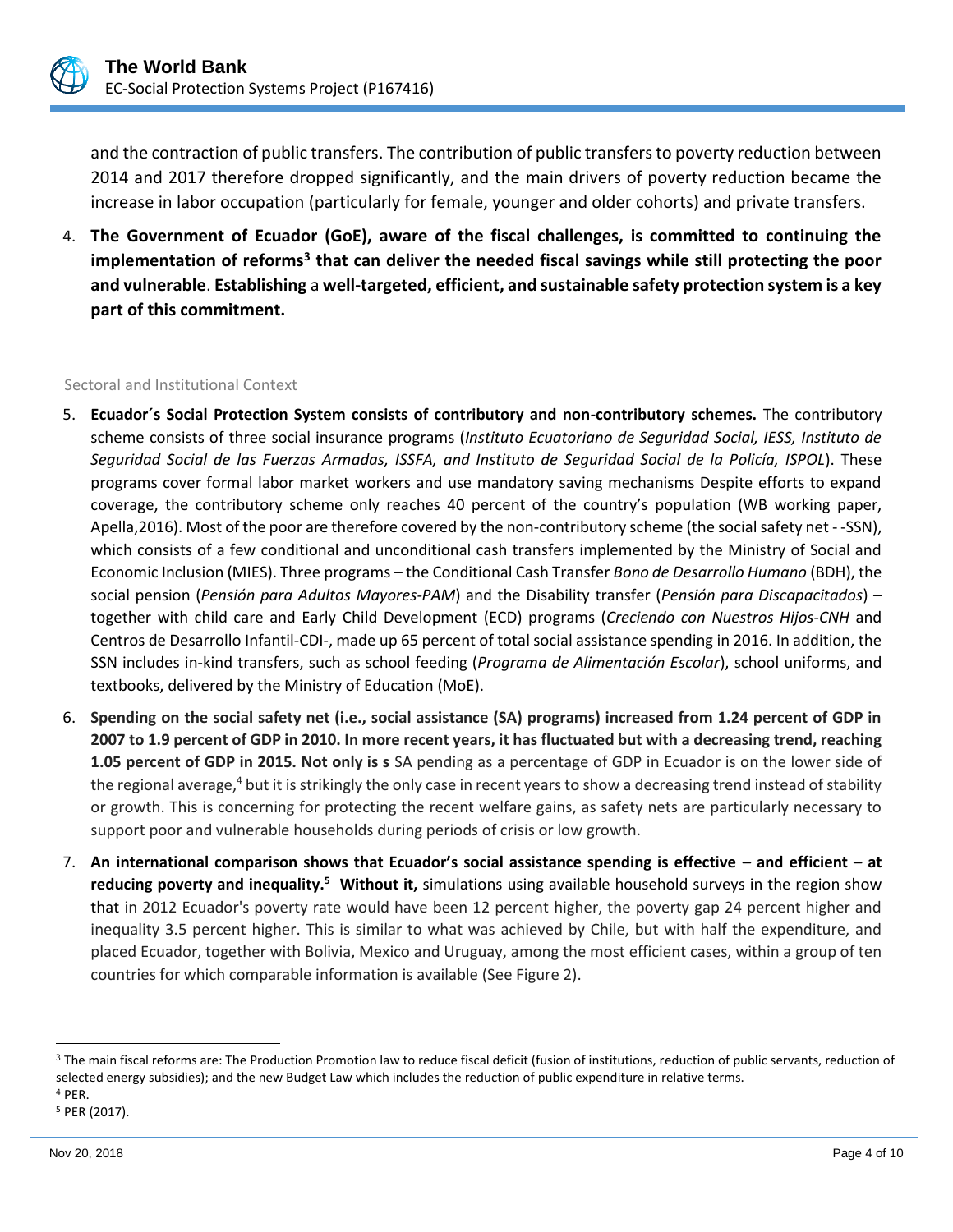

and the contraction of public transfers. The contribution of public transfers to poverty reduction between 2014 and 2017 therefore dropped significantly, and the main drivers of poverty reduction became the increase in labor occupation (particularly for female, younger and older cohorts) and private transfers.

4. **The Government of Ecuador (GoE), aware of the fiscal challenges, is committed to continuing the**  implementation of reforms<sup>3</sup> that can deliver the needed fiscal savings while still protecting the poor **and vulnerable**. **Establishing** a **well-targeted, efficient, and sustainable safety protection system is a key part of this commitment.**

#### Sectoral and Institutional Context

- 5. **Ecuador´s Social Protection System consists of contributory and non-contributory schemes.** The contributory scheme consists of three social insurance programs (*Instituto Ecuatoriano de Seguridad Social, IESS, Instituto de Seguridad Social de las Fuerzas Armadas, ISSFA, and Instituto de Seguridad Social de la Policía, ISPOL*). These programs cover formal labor market workers and use mandatory saving mechanisms Despite efforts to expand coverage, the contributory scheme only reaches 40 percent of the country's population (WB working paper, Apella,2016). Most of the poor are therefore covered by the non-contributory scheme (the social safety net - -SSN), which consists of a few conditional and unconditional cash transfers implemented by the Ministry of Social and Economic Inclusion (MIES). Three programs – the Conditional Cash Transfer *Bono de Desarrollo Humano* (BDH), the social pension (*Pensión para Adultos Mayores-PAM*) and the Disability transfer (*Pensión para Discapacitados*) – together with child care and Early Child Development (ECD) programs (*Creciendo con Nuestros Hijos-CNH* and Centros de Desarrollo Infantil-CDI-, made up 65 percent of total social assistance spending in 2016. In addition, the SSN includes in-kind transfers, such as school feeding (*Programa de Alimentación Escolar*), school uniforms, and textbooks, delivered by the Ministry of Education (MoE).
- 6. **Spending on the social safety net (i.e., social assistance (SA) programs) increased from 1.24 percent of GDP in 2007 to 1.9 percent of GDP in 2010. In more recent years, it has fluctuated but with a decreasing trend, reaching 1.05 percent of GDP in 2015. Not only is s** SA pending as a percentage of GDP in Ecuador is on the lower side of the regional average,<sup>4</sup> but it is strikingly the only case in recent years to show a decreasing trend instead of stability or growth. This is concerning for protecting the recent welfare gains, as safety nets are particularly necessary to support poor and vulnerable households during periods of crisis or low growth.
- 7. **An international comparison shows that Ecuador's social assistance spending is effective – and efficient – at reducing poverty and inequality.<sup>5</sup> Without it,** simulations using available household surveys in the region show that in 2012 Ecuador's poverty rate would have been 12 percent higher, the poverty gap 24 percent higher and inequality 3.5 percent higher. This is similar to what was achieved by Chile, but with half the expenditure, and placed Ecuador, together with Bolivia, Mexico and Uruguay, among the most efficient cases, within a group of ten countries for which comparable information is available (See Figure 2).

 $3$  The main fiscal reforms are: The Production Promotion law to reduce fiscal deficit (fusion of institutions, reduction of public servants, reduction of selected energy subsidies); and the new Budget Law which includes the reduction of public expenditure in relative terms.

<sup>4</sup> PER.

<sup>5</sup> PER (2017).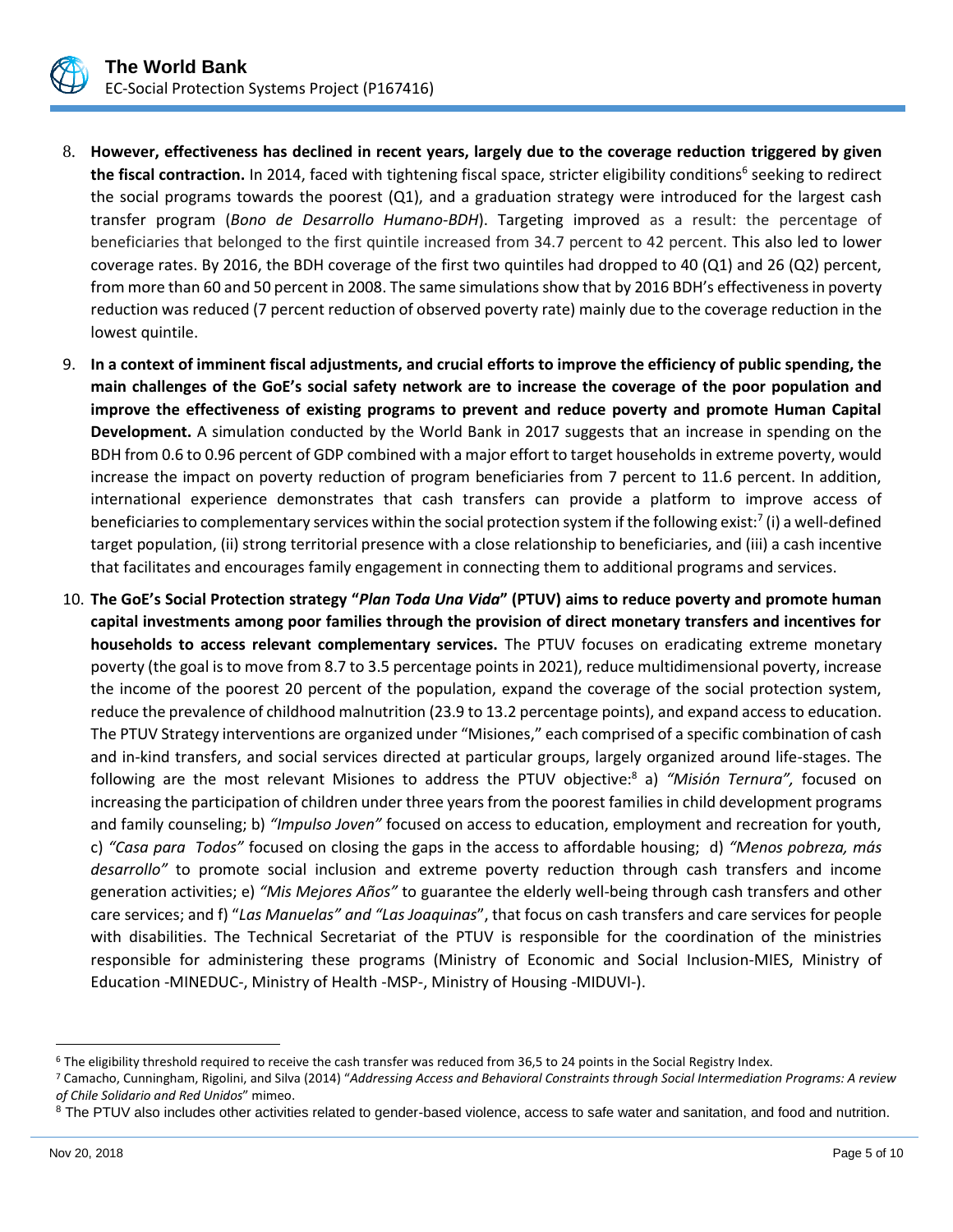

- 8. **However, effectiveness has declined in recent years, largely due to the coverage reduction triggered by given**  the fiscal contraction. In 2014, faced with tightening fiscal space, stricter eligibility conditions<sup>6</sup> seeking to redirect the social programs towards the poorest (Q1), and a graduation strategy were introduced for the largest cash transfer program (*Bono de Desarrollo Humano-BDH*). Targeting improved as a result: the percentage of beneficiaries that belonged to the first quintile increased from 34.7 percent to 42 percent. This also led to lower coverage rates. By 2016, the BDH coverage of the first two quintiles had dropped to 40 (Q1) and 26 (Q2) percent, from more than 60 and 50 percent in 2008. The same simulations show that by 2016 BDH's effectiveness in poverty reduction was reduced (7 percent reduction of observed poverty rate) mainly due to the coverage reduction in the lowest quintile.
- 9. **In a context of imminent fiscal adjustments, and crucial efforts to improve the efficiency of public spending, the main challenges of the GoE's social safety network are to increase the coverage of the poor population and improve the effectiveness of existing programs to prevent and reduce poverty and promote Human Capital Development.** A simulation conducted by the World Bank in 2017 suggests that an increase in spending on the BDH from 0.6 to 0.96 percent of GDP combined with a major effort to target households in extreme poverty, would increase the impact on poverty reduction of program beneficiaries from 7 percent to 11.6 percent. In addition, international experience demonstrates that cash transfers can provide a platform to improve access of beneficiaries to complementary services within the social protection system if the following exist:<sup>7</sup> (i) a well-defined target population, (ii) strong territorial presence with a close relationship to beneficiaries, and (iii) a cash incentive that facilitates and encourages family engagement in connecting them to additional programs and services.
- 10. **The GoE's Social Protection strategy "***Plan Toda Una Vida***" (PTUV) aims to reduce poverty and promote human capital investments among poor families through the provision of direct monetary transfers and incentives for households to access relevant complementary services.** The PTUV focuses on eradicating extreme monetary poverty (the goal is to move from 8.7 to 3.5 percentage points in 2021), reduce multidimensional poverty, increase the income of the poorest 20 percent of the population, expand the coverage of the social protection system, reduce the prevalence of childhood malnutrition (23.9 to 13.2 percentage points), and expand access to education. The PTUV Strategy interventions are organized under "Misiones," each comprised of a specific combination of cash and in-kind transfers, and social services directed at particular groups, largely organized around life-stages. The following are the most relevant Misiones to address the PTUV objective:<sup>8</sup> a) *"Misión Ternura",* focused on increasing the participation of children under three years from the poorest families in child development programs and family counseling; b) *"Impulso Joven"* focused on access to education, employment and recreation for youth, c) *"Casa para Todos"* focused on closing the gaps in the access to affordable housing; d) *"Menos pobreza, más desarrollo"* to promote social inclusion and extreme poverty reduction through cash transfers and income generation activities; e) *"Mis Mejores Años"* to guarantee the elderly well-being through cash transfers and other care services; and f) "*Las Manuelas" and "Las Joaquinas*", that focus on cash transfers and care services for people with disabilities. The Technical Secretariat of the PTUV is responsible for the coordination of the ministries responsible for administering these programs (Ministry of Economic and Social Inclusion-MIES, Ministry of Education -MINEDUC-, Ministry of Health -MSP-, Ministry of Housing -MIDUVI-).

<sup>&</sup>lt;sup>6</sup> The eligibility threshold required to receive the cash transfer was reduced from 36,5 to 24 points in the Social Registry Index.

<sup>7</sup> Camacho, Cunningham, Rigolini, and Silva (2014) "*Addressing Access and Behavioral Constraints through Social Intermediation Programs: A review of Chile Solidario and Red Unidos*" mimeo.

<sup>&</sup>lt;sup>8</sup> The PTUV also includes other activities related to gender-based violence, access to safe water and sanitation, and food and nutrition.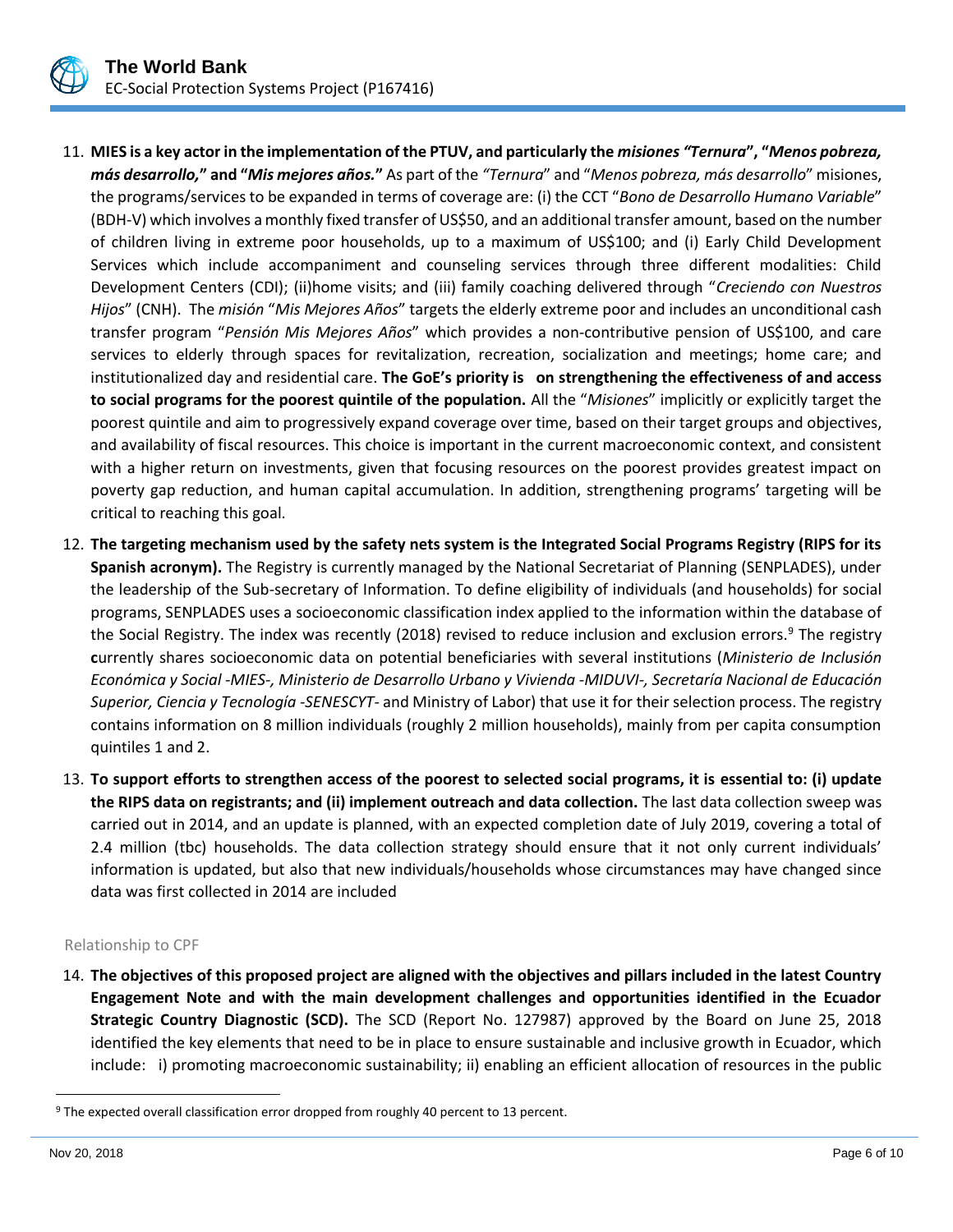

- 11. **MIES is a key actor in the implementation of the PTUV, and particularly the** *misiones "Ternura***", "***Menos pobreza, más desarrollo,***" and "***Mis mejores años.***"** As part of the *"Ternura*" and "*Menos pobreza, más desarrollo*" misiones, the programs/services to be expanded in terms of coverage are: (i) the CCT "*Bono de Desarrollo Humano Variable*" (BDH-V) which involves a monthly fixed transfer of US\$50, and an additional transfer amount, based on the number of children living in extreme poor households, up to a maximum of US\$100; and (i) Early Child Development Services which include accompaniment and counseling services through three different modalities: Child Development Centers (CDI); (ii)home visits; and (iii) family coaching delivered through "*Creciendo con Nuestros Hijos*" (CNH). The *misión* "*Mis Mejores Años*" targets the elderly extreme poor and includes an unconditional cash transfer program "*Pensión Mis Mejores Años*" which provides a non-contributive pension of US\$100, and care services to elderly through spaces for revitalization, recreation, socialization and meetings; home care; and institutionalized day and residential care. **The GoE's priority is on strengthening the effectiveness of and access to social programs for the poorest quintile of the population.** All the "*Misiones*" implicitly or explicitly target the poorest quintile and aim to progressively expand coverage over time, based on their target groups and objectives, and availability of fiscal resources. This choice is important in the current macroeconomic context, and consistent with a higher return on investments, given that focusing resources on the poorest provides greatest impact on poverty gap reduction, and human capital accumulation. In addition, strengthening programs' targeting will be critical to reaching this goal.
- 12. **The targeting mechanism used by the safety nets system is the Integrated Social Programs Registry (RIPS for its Spanish acronym).** The Registry is currently managed by the National Secretariat of Planning (SENPLADES), under the leadership of the Sub-secretary of Information. To define eligibility of individuals (and households) for social programs, SENPLADES uses a socioeconomic classification index applied to the information within the database of the Social Registry. The index was recently (2018) revised to reduce inclusion and exclusion errors.<sup>9</sup> The registry **c**urrently shares socioeconomic data on potential beneficiaries with several institutions (*Ministerio de Inclusión Económica y Social -MIES-, Ministerio de Desarrollo Urbano y Vivienda -MIDUVI-, Secretaría Nacional de Educación Superior, Ciencia y Tecnología -SENESCYT-* and Ministry of Labor) that use it for their selection process. The registry contains information on 8 million individuals (roughly 2 million households), mainly from per capita consumption quintiles 1 and 2.
- 13. **To support efforts to strengthen access of the poorest to selected social programs, it is essential to: (i) update the RIPS data on registrants; and (ii) implement outreach and data collection.** The last data collection sweep was carried out in 2014, and an update is planned, with an expected completion date of July 2019, covering a total of 2.4 million (tbc) households. The data collection strategy should ensure that it not only current individuals' information is updated, but also that new individuals/households whose circumstances may have changed since data was first collected in 2014 are included

#### Relationship to CPF

14. **The objectives of this proposed project are aligned with the objectives and pillars included in the latest Country Engagement Note and with the main development challenges and opportunities identified in the Ecuador Strategic Country Diagnostic (SCD).** The SCD (Report No. 127987) approved by the Board on June 25, 2018 identified the key elements that need to be in place to ensure sustainable and inclusive growth in Ecuador, which include: i) promoting macroeconomic sustainability; ii) enabling an efficient allocation of resources in the public

<sup>9</sup> The expected overall classification error dropped from roughly 40 percent to 13 percent.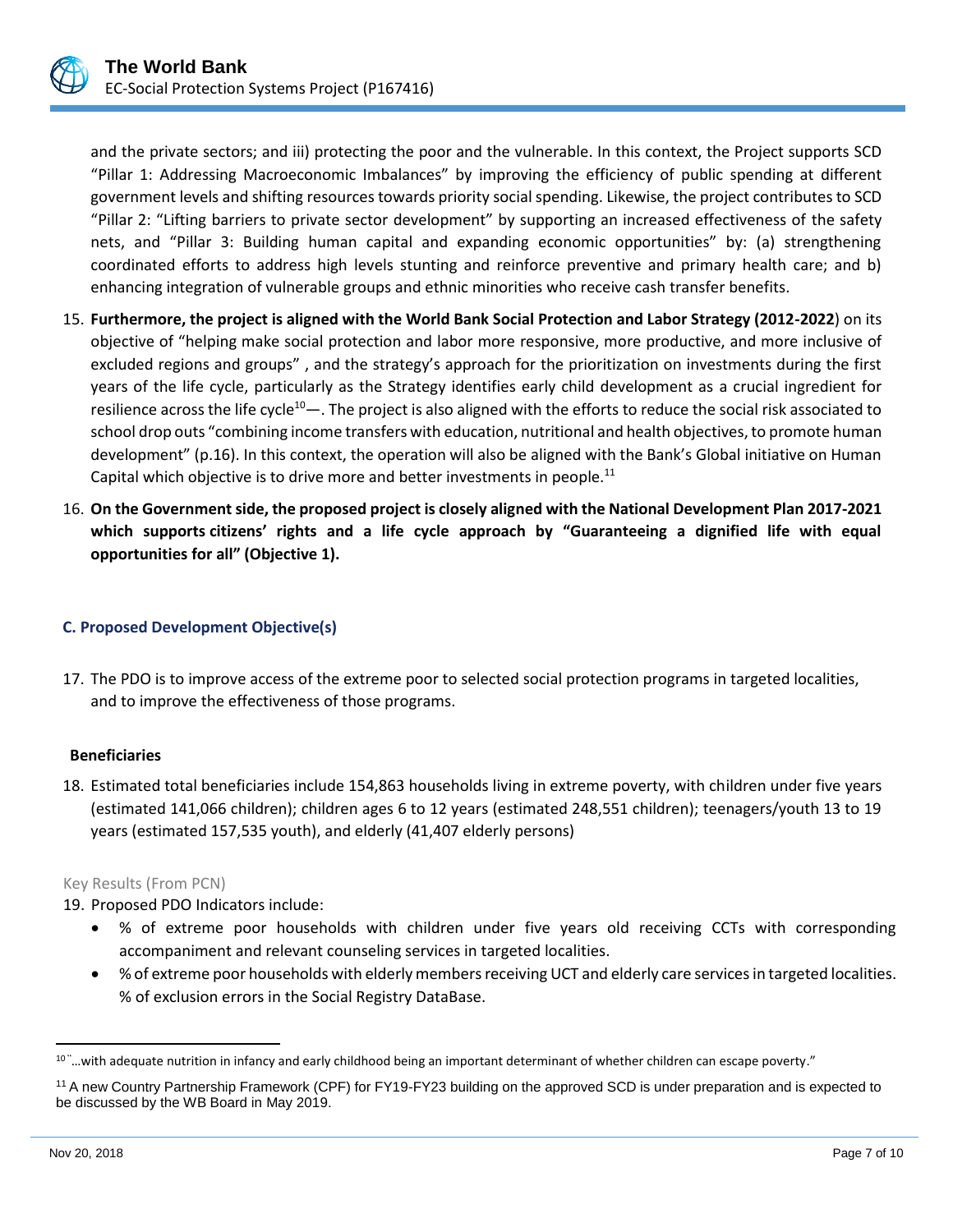

and the private sectors; and iii) protecting the poor and the vulnerable. In this context, the Project supports SCD "Pillar 1: Addressing Macroeconomic Imbalances" by improving the efficiency of public spending at different government levels and shifting resources towards priority social spending. Likewise, the project contributes to SCD "Pillar 2: "Lifting barriers to private sector development" by supporting an increased effectiveness of the safety nets, and "Pillar 3: Building human capital and expanding economic opportunities" by: (a) strengthening coordinated efforts to address high levels stunting and reinforce preventive and primary health care; and b) enhancing integration of vulnerable groups and ethnic minorities who receive cash transfer benefits.

- 15. **Furthermore, the project is aligned with the World Bank Social Protection and Labor Strategy (2012-2022**) on its objective of "helping make social protection and labor more responsive, more productive, and more inclusive of excluded regions and groups" , and the strategy's approach for the prioritization on investments during the first years of the life cycle, particularly as the Strategy identifies early child development as a crucial ingredient for resilience across the life cycle<sup>10</sup>—. The project is also aligned with the efforts to reduce the social risk associated to school drop outs "combining income transfers with education, nutritional and health objectives, to promote human development" (p.16). In this context, the operation will also be aligned with the Bank's Global initiative on Human Capital which objective is to drive more and better investments in people.<sup>11</sup>
- 16. **On the Government side, the proposed project is closely aligned with the National Development Plan 2017-2021 which supports citizens' rights and a life cycle approach by "Guaranteeing a dignified life with equal opportunities for all" (Objective 1).**

## **C. Proposed Development Objective(s)**

17. The PDO is to improve access of the extreme poor to selected social protection programs in targeted localities, and to improve the effectiveness of those programs.

## **Beneficiaries**

18. Estimated total beneficiaries include 154,863 households living in extreme poverty, with children under five years (estimated 141,066 children); children ages 6 to 12 years (estimated 248,551 children); teenagers/youth 13 to 19 years (estimated 157,535 youth), and elderly (41,407 elderly persons)

#### Key Results (From PCN)

19. Proposed PDO Indicators include:

- % of extreme poor households with children under five years old receiving CCTs with corresponding accompaniment and relevant counseling services in targeted localities.
- % of extreme poor households with elderly members receiving UCT and elderly care services in targeted localities. % of exclusion errors in the Social Registry DataBase.

 $10^{\circ}$  ... with adequate nutrition in infancy and early childhood being an important determinant of whether children can escape poverty."

<sup>11</sup> A new Country Partnership Framework (CPF) for FY19-FY23 building on the approved SCD is under preparation and is expected to be discussed by the WB Board in May 2019.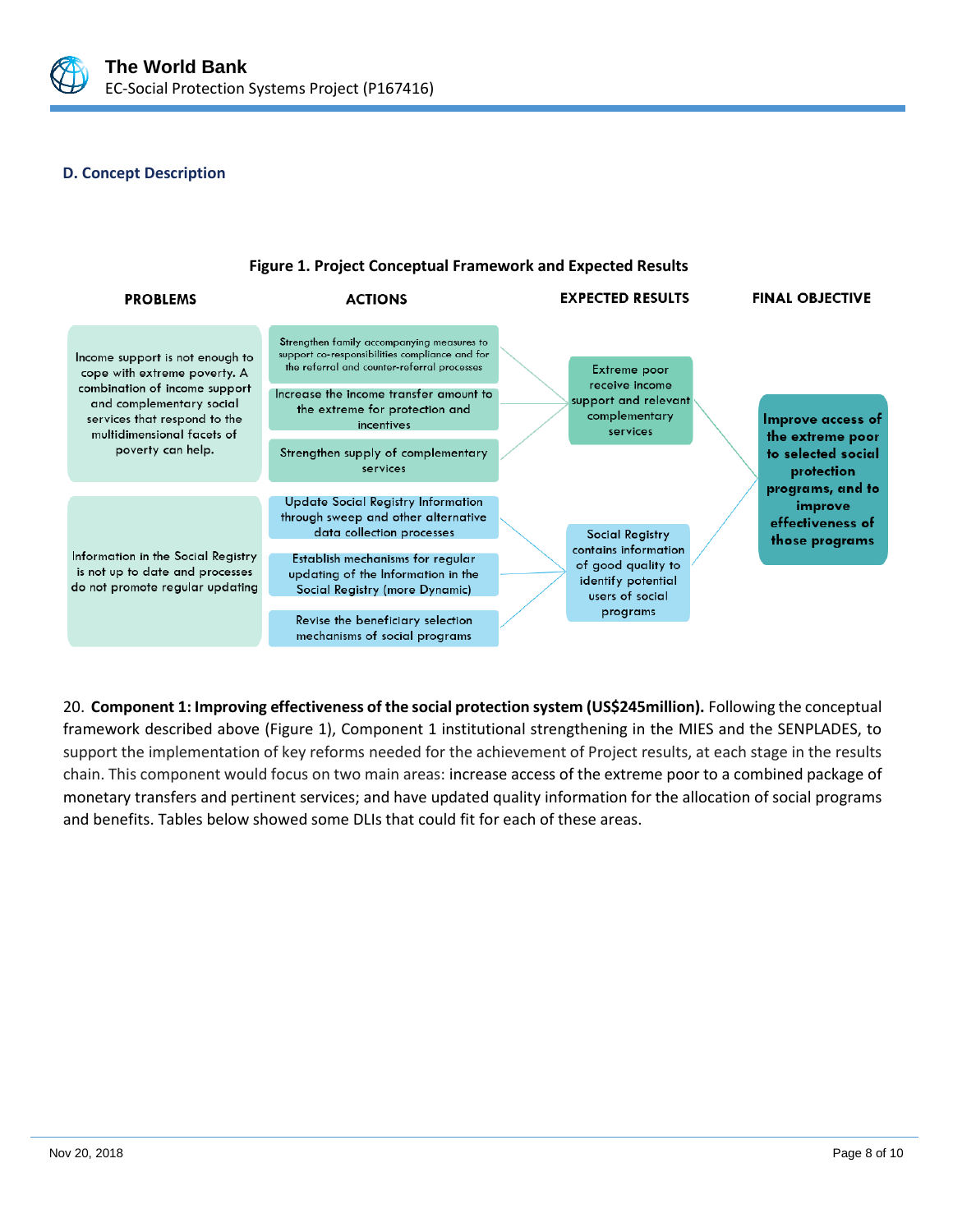

## **D. Concept Description**



20. **Component 1: Improving effectiveness of the social protection system (US\$245million).** Following the conceptual framework described above (Figure 1), Component 1 institutional strengthening in the MIES and the SENPLADES, to support the implementation of key reforms needed for the achievement of Project results, at each stage in the results chain. This component would focus on two main areas: increase access of the extreme poor to a combined package of monetary transfers and pertinent services; and have updated quality information for the allocation of social programs and benefits. Tables below showed some DLIs that could fit for each of these areas.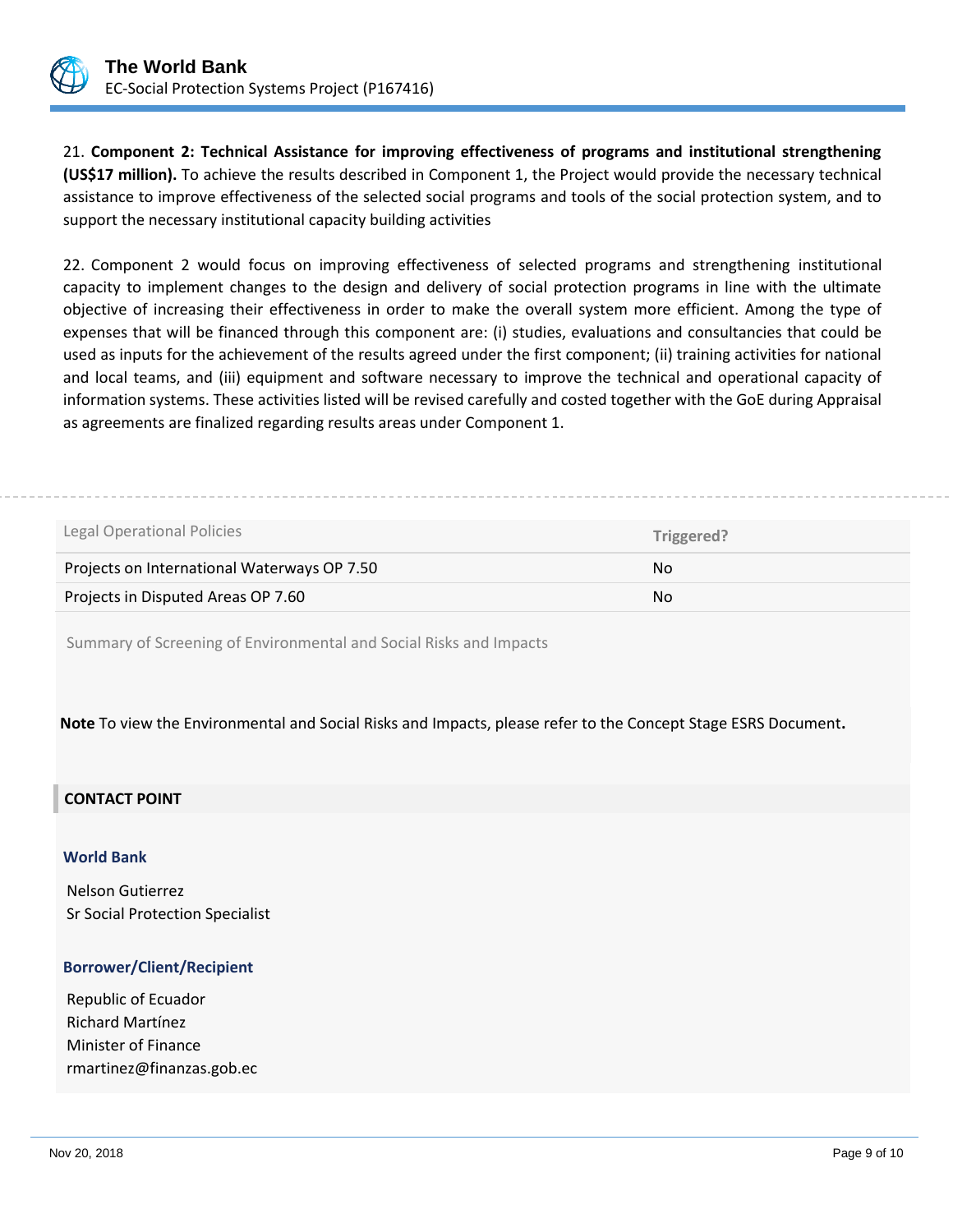

21. **Component 2: Technical Assistance for improving effectiveness of programs and institutional strengthening (US\$17 million).** To achieve the results described in Component 1, the Project would provide the necessary technical assistance to improve effectiveness of the selected social programs and tools of the social protection system, and to support the necessary institutional capacity building activities

22. Component 2 would focus on improving effectiveness of selected programs and strengthening institutional capacity to implement changes to the design and delivery of social protection programs in line with the ultimate objective of increasing their effectiveness in order to make the overall system more efficient. Among the type of expenses that will be financed through this component are: (i) studies, evaluations and consultancies that could be used as inputs for the achievement of the results agreed under the first component; (ii) training activities for national and local teams, and (iii) equipment and software necessary to improve the technical and operational capacity of information systems. These activities listed will be revised carefully and costed together with the GoE during Appraisal as agreements are finalized regarding results areas under Component 1.

| Legal Operational Policies                  | Triggered? |
|---------------------------------------------|------------|
| Projects on International Waterways OP 7.50 | No.        |
| Projects in Disputed Areas OP 7.60          | No.        |

Summary of Screening of Environmental and Social Risks and Impacts

**Note** To view the Environmental and Social Risks and Impacts, please refer to the Concept Stage ESRS Document**.**

# **CONTACT POINT**

#### **World Bank**

Nelson Gutierrez Sr Social Protection Specialist

## **Borrower/Client/Recipient**

Republic of Ecuador Richard Martínez Minister of Finance rmartinez@finanzas.gob.ec